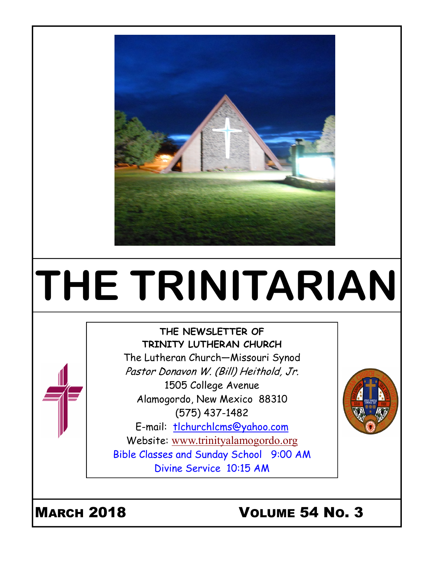

# THE TRINITARIAN

#### THE NEWSLETTER OF TRINITY LUTHERAN CHURCH The Lutheran Church—Missouri Synod Pastor Donavon W. (Bill) Heithold, Jr. 1505 College Avenue Alamogordo, New Mexico 88310

(575) 437-1482 E-mail: tlchurchlcms@yahoo.com Website: www.trinityalamogordo.org Bible Classes and Sunday School 9:00 AM Divine Service 10:15 AM



# MARCH 2018 VOLUME 54 NO. 3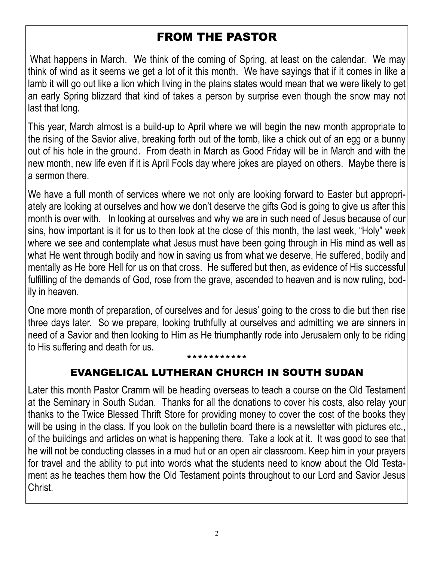# FROM THE PASTOR

What happens in March. We think of the coming of Spring, at least on the calendar. We may think of wind as it seems we get a lot of it this month. We have sayings that if it comes in like a lamb it will go out like a lion which living in the plains states would mean that we were likely to get an early Spring blizzard that kind of takes a person by surprise even though the snow may not last that long.

This year, March almost is a build-up to April where we will begin the new month appropriate to the rising of the Savior alive, breaking forth out of the tomb, like a chick out of an egg or a bunny out of his hole in the ground. From death in March as Good Friday will be in March and with the new month, new life even if it is April Fools day where jokes are played on others. Maybe there is a sermon there.

We have a full month of services where we not only are looking forward to Easter but appropriately are looking at ourselves and how we don't deserve the gifts God is going to give us after this month is over with. In looking at ourselves and why we are in such need of Jesus because of our sins, how important is it for us to then look at the close of this month, the last week, "Holy" week where we see and contemplate what Jesus must have been going through in His mind as well as what He went through bodily and how in saving us from what we deserve, He suffered, bodily and mentally as He bore Hell for us on that cross. He suffered but then, as evidence of His successful fulfilling of the demands of God, rose from the grave, ascended to heaven and is now ruling, bodily in heaven.

One more month of preparation, of ourselves and for Jesus' going to the cross to die but then rise three days later. So we prepare, looking truthfully at ourselves and admitting we are sinners in need of a Savior and then looking to Him as He triumphantly rode into Jerusalem only to be riding to His suffering and death for us.

#### \*\*\*\*\*\*\*\*\*\*\*

#### EVANGELICAL LUTHERAN CHURCH IN SOUTH SUDAN

Later this month Pastor Cramm will be heading overseas to teach a course on the Old Testament at the Seminary in South Sudan. Thanks for all the donations to cover his costs, also relay your thanks to the Twice Blessed Thrift Store for providing money to cover the cost of the books they will be using in the class. If you look on the bulletin board there is a newsletter with pictures etc., of the buildings and articles on what is happening there. Take a look at it. It was good to see that he will not be conducting classes in a mud hut or an open air classroom. Keep him in your prayers for travel and the ability to put into words what the students need to know about the Old Testament as he teaches them how the Old Testament points throughout to our Lord and Savior Jesus Christ.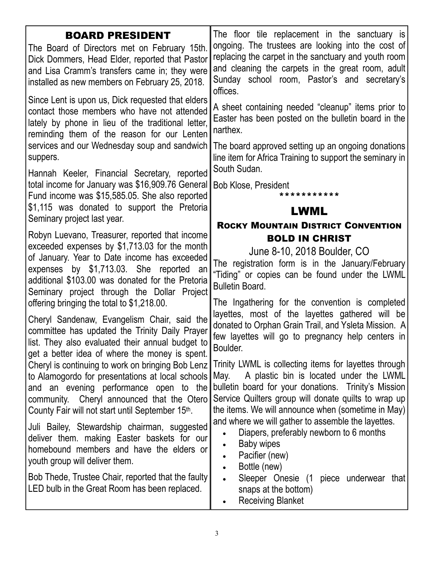| <b>BOARD PRESIDENT</b>                                                                                                                                                                                                                                                                                                                                                                                                                                                                                                                                                                                                                                                                                                                                                                                                                                                                                                                                                                                                                     | The floor tile replacement in the sanctuary is                                                                                                                                                                                                                                                                                                                                                                                                                                                                                                                                                                                                                                                                                                                                                                                                                                                      |
|--------------------------------------------------------------------------------------------------------------------------------------------------------------------------------------------------------------------------------------------------------------------------------------------------------------------------------------------------------------------------------------------------------------------------------------------------------------------------------------------------------------------------------------------------------------------------------------------------------------------------------------------------------------------------------------------------------------------------------------------------------------------------------------------------------------------------------------------------------------------------------------------------------------------------------------------------------------------------------------------------------------------------------------------|-----------------------------------------------------------------------------------------------------------------------------------------------------------------------------------------------------------------------------------------------------------------------------------------------------------------------------------------------------------------------------------------------------------------------------------------------------------------------------------------------------------------------------------------------------------------------------------------------------------------------------------------------------------------------------------------------------------------------------------------------------------------------------------------------------------------------------------------------------------------------------------------------------|
| The Board of Directors met on February 15th.                                                                                                                                                                                                                                                                                                                                                                                                                                                                                                                                                                                                                                                                                                                                                                                                                                                                                                                                                                                               | ongoing. The trustees are looking into the cost of                                                                                                                                                                                                                                                                                                                                                                                                                                                                                                                                                                                                                                                                                                                                                                                                                                                  |
| Dick Dommers, Head Elder, reported that Pastor                                                                                                                                                                                                                                                                                                                                                                                                                                                                                                                                                                                                                                                                                                                                                                                                                                                                                                                                                                                             | replacing the carpet in the sanctuary and youth room                                                                                                                                                                                                                                                                                                                                                                                                                                                                                                                                                                                                                                                                                                                                                                                                                                                |
| and Lisa Cramm's transfers came in; they were                                                                                                                                                                                                                                                                                                                                                                                                                                                                                                                                                                                                                                                                                                                                                                                                                                                                                                                                                                                              | and cleaning the carpets in the great room, adult                                                                                                                                                                                                                                                                                                                                                                                                                                                                                                                                                                                                                                                                                                                                                                                                                                                   |
| installed as new members on February 25, 2018.                                                                                                                                                                                                                                                                                                                                                                                                                                                                                                                                                                                                                                                                                                                                                                                                                                                                                                                                                                                             | Sunday school room, Pastor's and secretary's                                                                                                                                                                                                                                                                                                                                                                                                                                                                                                                                                                                                                                                                                                                                                                                                                                                        |
| Since Lent is upon us, Dick requested that elders                                                                                                                                                                                                                                                                                                                                                                                                                                                                                                                                                                                                                                                                                                                                                                                                                                                                                                                                                                                          | offices.                                                                                                                                                                                                                                                                                                                                                                                                                                                                                                                                                                                                                                                                                                                                                                                                                                                                                            |
| contact those members who have not attended                                                                                                                                                                                                                                                                                                                                                                                                                                                                                                                                                                                                                                                                                                                                                                                                                                                                                                                                                                                                | A sheet containing needed "cleanup" items prior to                                                                                                                                                                                                                                                                                                                                                                                                                                                                                                                                                                                                                                                                                                                                                                                                                                                  |
| lately by phone in lieu of the traditional letter,                                                                                                                                                                                                                                                                                                                                                                                                                                                                                                                                                                                                                                                                                                                                                                                                                                                                                                                                                                                         | Easter has been posted on the bulletin board in the                                                                                                                                                                                                                                                                                                                                                                                                                                                                                                                                                                                                                                                                                                                                                                                                                                                 |
| reminding them of the reason for our Lenten                                                                                                                                                                                                                                                                                                                                                                                                                                                                                                                                                                                                                                                                                                                                                                                                                                                                                                                                                                                                | narthex.                                                                                                                                                                                                                                                                                                                                                                                                                                                                                                                                                                                                                                                                                                                                                                                                                                                                                            |
| services and our Wednesday soup and sandwich                                                                                                                                                                                                                                                                                                                                                                                                                                                                                                                                                                                                                                                                                                                                                                                                                                                                                                                                                                                               | The board approved setting up an ongoing donations                                                                                                                                                                                                                                                                                                                                                                                                                                                                                                                                                                                                                                                                                                                                                                                                                                                  |
| suppers.                                                                                                                                                                                                                                                                                                                                                                                                                                                                                                                                                                                                                                                                                                                                                                                                                                                                                                                                                                                                                                   | line item for Africa Training to support the seminary in                                                                                                                                                                                                                                                                                                                                                                                                                                                                                                                                                                                                                                                                                                                                                                                                                                            |
| Hannah Keeler, Financial Secretary, reported                                                                                                                                                                                                                                                                                                                                                                                                                                                                                                                                                                                                                                                                                                                                                                                                                                                                                                                                                                                               | South Sudan.                                                                                                                                                                                                                                                                                                                                                                                                                                                                                                                                                                                                                                                                                                                                                                                                                                                                                        |
| total income for January was \$16,909.76 General                                                                                                                                                                                                                                                                                                                                                                                                                                                                                                                                                                                                                                                                                                                                                                                                                                                                                                                                                                                           | <b>Bob Klose, President</b>                                                                                                                                                                                                                                                                                                                                                                                                                                                                                                                                                                                                                                                                                                                                                                                                                                                                         |
| Fund income was \$15,585.05. She also reported                                                                                                                                                                                                                                                                                                                                                                                                                                                                                                                                                                                                                                                                                                                                                                                                                                                                                                                                                                                             | * * * * * * * * * * *                                                                                                                                                                                                                                                                                                                                                                                                                                                                                                                                                                                                                                                                                                                                                                                                                                                                               |
| \$1,115 was donated to support the Pretoria                                                                                                                                                                                                                                                                                                                                                                                                                                                                                                                                                                                                                                                                                                                                                                                                                                                                                                                                                                                                | LWML                                                                                                                                                                                                                                                                                                                                                                                                                                                                                                                                                                                                                                                                                                                                                                                                                                                                                                |
| Seminary project last year.                                                                                                                                                                                                                                                                                                                                                                                                                                                                                                                                                                                                                                                                                                                                                                                                                                                                                                                                                                                                                | <b>ROCKY MOUNTAIN DISTRICT CONVENTION</b>                                                                                                                                                                                                                                                                                                                                                                                                                                                                                                                                                                                                                                                                                                                                                                                                                                                           |
| Robyn Luevano, Treasurer, reported that income<br>exceeded expenses by \$1,713.03 for the month<br>of January. Year to Date income has exceeded<br>expenses by \$1,713.03. She reported an<br>additional \$103.00 was donated for the Pretoria<br>Seminary project through the Dollar Project<br>offering bringing the total to \$1,218.00.<br>Cheryl Sandenaw, Evangelism Chair, said the<br>committee has updated the Trinity Daily Prayer<br>list. They also evaluated their annual budget to<br>get a better idea of where the money is spent.<br>Cheryl is continuing to work on bringing Bob Lenz<br>to Alamogordo for presentations at local schools<br>and an evening performance open to the<br>community. Cheryl announced that the Otero<br>County Fair will not start until September 15th.<br>Juli Bailey, Stewardship chairman, suggested<br>deliver them. making Easter baskets for our<br>homebound members and have the elders or<br>youth group will deliver them.<br>Bob Thede, Trustee Chair, reported that the faulty | <b>BOLD IN CHRIST</b><br>June 8-10, 2018 Boulder, CO<br>The registration form is in the January/February<br>"Tiding" or copies can be found under the LWML<br><b>Bulletin Board.</b><br>The Ingathering for the convention is completed<br>layettes, most of the layettes gathered will be<br>donated to Orphan Grain Trail, and Ysleta Mission. A<br>few layettes will go to pregnancy help centers in<br>Boulder.<br>Trinity LWML is collecting items for layettes through<br>A plastic bin is located under the LWML<br>May.<br>bulletin board for your donations. Trinity's Mission<br>Service Quilters group will donate quilts to wrap up<br>the items. We will announce when (sometime in May)<br>and where we will gather to assemble the layettes.<br>Diapers, preferably newborn to 6 months<br>Baby wipes<br>Pacifier (new)<br>Bottle (new)<br>Sleeper Onesie (1<br>piece underwear that |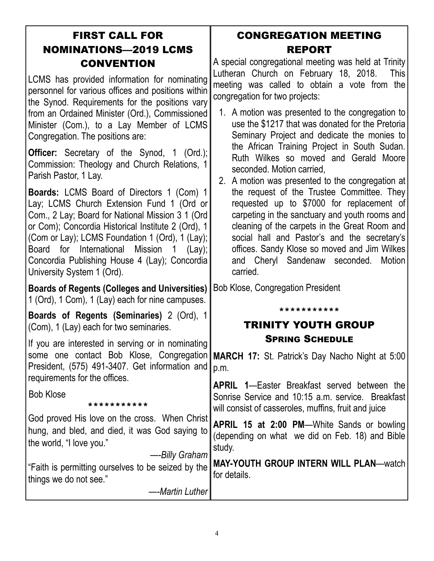| <b>FIRST CALL FOR</b>        |  |
|------------------------------|--|
| <b>NOMINATIONS-2019 LCMS</b> |  |
| <b>CONVENTION</b>            |  |

LCMS has provided information for nominating personnel for various offices and positions within the Synod. Requirements for the positions vary from an Ordained Minister (Ord.), Commissioned Minister (Com.), to a Lay Member of LCMS Congregation. The positions are:

**Officer:** Secretary of the Synod, 1 (Ord.); Commission: Theology and Church Relations, 1 Parish Pastor, 1 Lay.

Boards: LCMS Board of Directors 1 (Com) 1 Lay; LCMS Church Extension Fund 1 (Ord or Com., 2 Lay; Board for National Mission 3 1 (Ord or Com); Concordia Historical Institute 2 (Ord), 1 (Com or Lay); LCMS Foundation 1 (Ord), 1 (Lay); Board for International Mission 1 (Lay); Concordia Publishing House 4 (Lay); Concordia University System 1 (Ord).

Boards of Regents (Colleges and Universities) 1 (Ord), 1 Com), 1 (Lay) each for nine campuses.

Boards of Regents (Seminaries) 2 (Ord), 1 (Com), 1 (Lay) each for two seminaries.

If you are interested in serving or in nominating some one contact Bob Klose, Congregation President, (575) 491-3407. Get information and requirements for the offices.

Bob Klose

\*\*\*\*\*\*\*\*\*\*\*

God proved His love on the cross. When Christ hung, and bled, and died, it was God saying to the world, "I love you."

#### —-Billy Graham "Faith is permitting ourselves to be seized by the things we do not see." for details.

—-Martin Luther

#### CONGREGATION MEETING REPORT

A special congregational meeting was held at Trinity Lutheran Church on February 18, 2018. This meeting was called to obtain a vote from the congregation for two projects:

- 1. A motion was presented to the congregation to use the \$1217 that was donated for the Pretoria Seminary Project and dedicate the monies to the African Training Project in South Sudan. Ruth Wilkes so moved and Gerald Moore seconded. Motion carried,
- 2. A motion was presented to the congregation at the request of the Trustee Committee. They requested up to \$7000 for replacement of carpeting in the sanctuary and youth rooms and cleaning of the carpets in the Great Room and social hall and Pastor's and the secretary's offices. Sandy Klose so moved and Jim Wilkes and Cheryl Sandenaw seconded. Motion carried.

Bob Klose, Congregation President

#### \*\*\*\*\*\*\*\*\*\*\*

#### TRINITY YOUTH GROUP SPRING SCHEDULE

MARCH 17: St. Patrick's Day Nacho Night at 5:00 p.m.

APRIL 1—Easter Breakfast served between the Sonrise Service and 10:15 a.m. service. Breakfast will consist of casseroles, muffins, fruit and juice

APRIL 15 at 2:00 PM—White Sands or bowling (depending on what we did on Feb. 18) and Bible study.

MAY-YOUTH GROUP INTERN WILL PLAN—watch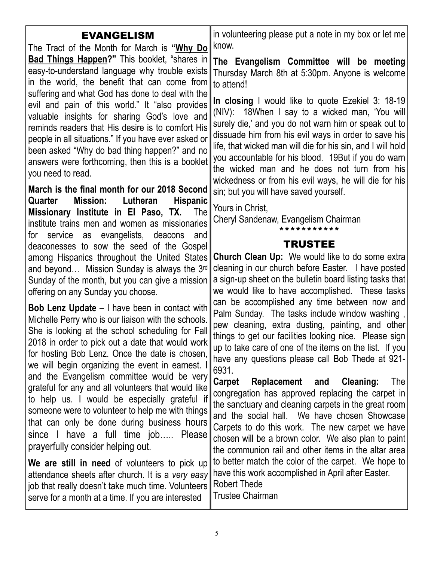| <b>EVANGELISM</b>                                                                                                                                                                                                                                                                                                                                                                         | in volunteering please put a note in my box or let me                                                                                                                                                                                                                                                                                                                                                                                               |
|-------------------------------------------------------------------------------------------------------------------------------------------------------------------------------------------------------------------------------------------------------------------------------------------------------------------------------------------------------------------------------------------|-----------------------------------------------------------------------------------------------------------------------------------------------------------------------------------------------------------------------------------------------------------------------------------------------------------------------------------------------------------------------------------------------------------------------------------------------------|
| The Tract of the Month for March is "Why Do                                                                                                                                                                                                                                                                                                                                               | know.                                                                                                                                                                                                                                                                                                                                                                                                                                               |
| <b>Bad Things Happen?</b> " This booklet, "shares in<br>easy-to-understand language why trouble exists<br>in the world, the benefit that can come from                                                                                                                                                                                                                                    | The Evangelism Committee will be meeting<br>Thursday March 8th at 5:30pm. Anyone is welcome<br>to attend!                                                                                                                                                                                                                                                                                                                                           |
| suffering and what God has done to deal with the<br>evil and pain of this world." It "also provides<br>valuable insights for sharing God's love and<br>reminds readers that His desire is to comfort His<br>people in all situations." If you have ever asked or<br>been asked "Why do bad thing happen?" and no<br>answers were forthcoming, then this is a booklet<br>you need to read. | In closing I would like to quote Ezekiel 3: 18-19<br>(NIV): 18When I say to a wicked man, 'You will<br>surely die,' and you do not warn him or speak out to<br>dissuade him from his evil ways in order to save his<br>life, that wicked man will die for his sin, and I will hold<br>you accountable for his blood. 19 But if you do warn<br>the wicked man and he does not turn from his<br>wickedness or from his evil ways, he will die for his |
| March is the final month for our 2018 Second                                                                                                                                                                                                                                                                                                                                              | sin; but you will have saved yourself.                                                                                                                                                                                                                                                                                                                                                                                                              |
| Mission: Lutheran<br><b>Hispanic</b><br>Quarter<br>Missionary Institute in El Paso, TX.<br><b>The</b><br>institute trains men and women as missionaries<br>for service as evangelists, deacons<br>and                                                                                                                                                                                     | Yours in Christ,<br>Cheryl Sandenaw, Evangelism Chairman<br>* * * * * * * * * * *                                                                                                                                                                                                                                                                                                                                                                   |
| deaconesses to sow the seed of the Gospel                                                                                                                                                                                                                                                                                                                                                 | <b>TRUSTEE</b>                                                                                                                                                                                                                                                                                                                                                                                                                                      |
| among Hispanics throughout the United States<br>and beyond Mission Sunday is always the 3 <sup>rd</sup><br>Sunday of the month, but you can give a mission<br>offering on any Sunday you choose.                                                                                                                                                                                          | <b>Church Clean Up:</b> We would like to do some extra<br>cleaning in our church before Easter. I have posted<br>a sign-up sheet on the bulletin board listing tasks that<br>we would like to have accomplished. These tasks                                                                                                                                                                                                                        |
| <b>Bob Lenz Update</b> – I have been in contact with<br>Michelle Perry who is our liaison with the schools.<br>She is looking at the school scheduling for Fall<br>2018 in order to pick out a date that would work<br>for hosting Bob Lenz. Once the date is chosen,<br>we will begin organizing the event in earnest.                                                                   | can be accomplished any time between now and<br>Palm Sunday. The tasks include window washing,<br>pew cleaning, extra dusting, painting, and other<br>things to get our facilities looking nice. Please sign<br>up to take care of one of the items on the list. If you<br>have any questions please call Bob Thede at 921-<br>6931.                                                                                                                |
| and the Evangelism committee would be very<br>grateful for any and all volunteers that would like<br>to help us. I would be especially grateful if<br>someone were to volunteer to help me with things<br>that can only be done during business hours<br>since I have a full time job Please<br>prayerfully consider helping out.                                                         | Carpet<br><b>Cleaning:</b><br>Replacement and<br>The<br>congregation has approved replacing the carpet in<br>the sanctuary and cleaning carpets in the great room<br>and the social hall. We have chosen Showcase<br>Carpets to do this work. The new carpet we have<br>chosen will be a brown color. We also plan to paint<br>the communion rail and other items in the altar area                                                                 |
| We are still in need of volunteers to pick up<br>attendance sheets after church. It is a very easy<br>job that really doesn't take much time. Volunteers<br>serve for a month at a time. If you are interested                                                                                                                                                                            | to better match the color of the carpet. We hope to<br>have this work accomplished in April after Easter.<br><b>Robert Thede</b><br><b>Trustee Chairman</b>                                                                                                                                                                                                                                                                                         |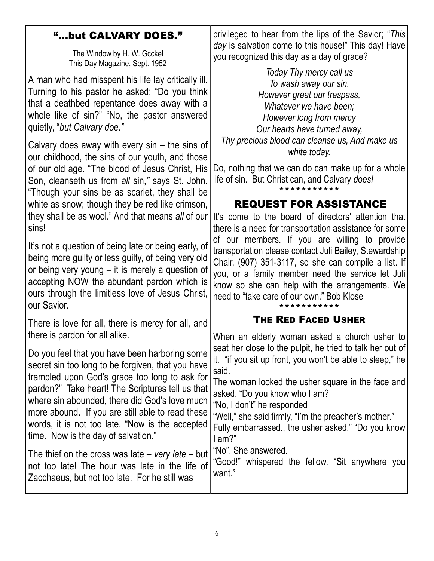#### "...but CALVARY DOES."

The Window by H. W. Gcckel This Day Magazine, Sept. 1952

A man who had misspent his life lay critically ill. Turning to his pastor he asked: "Do you think that a deathbed repentance does away with a whole like of sin?" "No, the pastor answered quietly, "but Calvary doe."

Calvary does away with every sin – the sins of our childhood, the sins of our youth, and those of our old age. "The blood of Jesus Christ, His Son, cleanseth us from all sin," says St. John. "Though your sins be as scarlet, they shall be white as snow; though they be red like crimson, they shall be as wool." And that means all of our sins!

It's not a question of being late or being early, of being more guilty or less guilty, of being very old or being very young – it is merely a question of accepting NOW the abundant pardon which is ours through the limitless love of Jesus Christ, our Savior.

There is love for all, there is mercy for all, and there is pardon for all alike.

Do you feel that you have been harboring some secret sin too long to be forgiven, that you have trampled upon God's grace too long to ask for pardon?" Take heart! The Scriptures tell us that where sin abounded, there did God's love much more abound. If you are still able to read these words, it is not too late. "Now is the accepted time. Now is the day of salvation."

The thief on the cross was late – very late – but not too late! The hour was late in the life of Zacchaeus, but not too late. For he still was

privileged to hear from the lips of the Savior; "This day is salvation come to this house!" This day! Have you recognized this day as a day of grace?

Today Thy mercy call us To wash away our sin. However great our trespass, Whatever we have been: However long from mercy Our hearts have turned away, Thy precious blood can cleanse us, And make us white today.

Do, nothing that we can do can make up for a whole life of sin. But Christ can, and Calvary does! \*\*\*\*\*\*\*\*\*\*\*

#### REQUEST FOR ASSISTANCE

It's come to the board of directors' attention that there is a need for transportation assistance for some of our members. If you are willing to provide transportation please contact Juli Bailey, Stewardship Chair, (907) 351-3117, so she can compile a list. If you, or a family member need the service let Juli know so she can help with the arrangements. We need to "take care of our own." Bob Klose

#### \*\*\*\*\*\*\*\*\*\*\* THE RED FACED USHER

When an elderly woman asked a church usher to seat her close to the pulpit, he tried to talk her out of it. "if you sit up front, you won't be able to sleep," he said.

The woman looked the usher square in the face and asked, "Do you know who I am?

"No, I don't" he responded

"Well," she said firmly, "I'm the preacher's mother."

Fully embarrassed., the usher asked," "Do you know I am?"

"No". She answered.

"Good!" whispered the fellow. "Sit anywhere you want."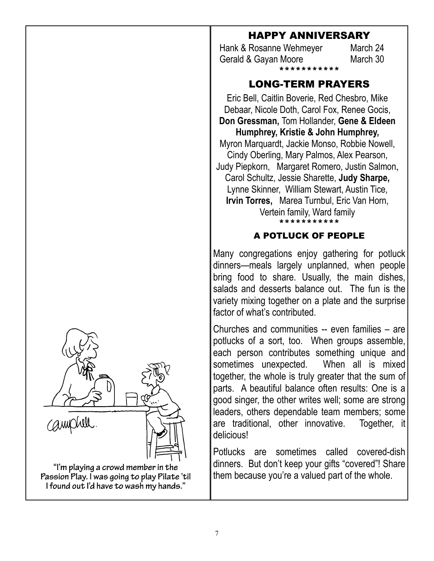"I'm playing a crowd member in the Passion Play. I was going to play Pilate 'til

I found out I'd have to wash my hands."

#### HAPPY ANNIVERSARY

Hank & Rosanne Wehmeyer March 24 Gerald & Gayan Moore March 30 \*\*\*\*\*\*\*\*\*\*\*

#### LONG-TERM PRAYERS

Eric Bell, Caitlin Boverie, Red Chesbro, Mike Debaar, Nicole Doth, Carol Fox, Renee Gocis, Don Gressman, Tom Hollander, Gene & Eldeen Humphrey, Kristie & John Humphrey, Myron Marquardt, Jackie Monso, Robbie Nowell, Cindy Oberling, Mary Palmos, Alex Pearson, Judy Piepkorn, Margaret Romero, Justin Salmon, Carol Schultz, Jessie Sharette, Judy Sharpe, Lynne Skinner, William Stewart, Austin Tice, Irvin Torres, Marea Turnbul, Eric Van Horn, Vertein family, Ward family \*\*\*\*\*\*\*\*\*\*\*

#### A POTLUCK OF PEOPLE

Many congregations enjoy gathering for potluck dinners—meals largely unplanned, when people bring food to share. Usually, the main dishes, salads and desserts balance out. The fun is the variety mixing together on a plate and the surprise factor of what's contributed.

Churches and communities -- even families – are potlucks of a sort, too. When groups assemble, each person contributes something unique and sometimes unexpected. When all is mixed together, the whole is truly greater that the sum of parts. A beautiful balance often results: One is a good singer, the other writes well; some are strong leaders, others dependable team members; some are traditional, other innovative. Together, it delicious!

Potlucks are sometimes called covered-dish dinners. But don't keep your gifts "covered"! Share them because you're a valued part of the whole.